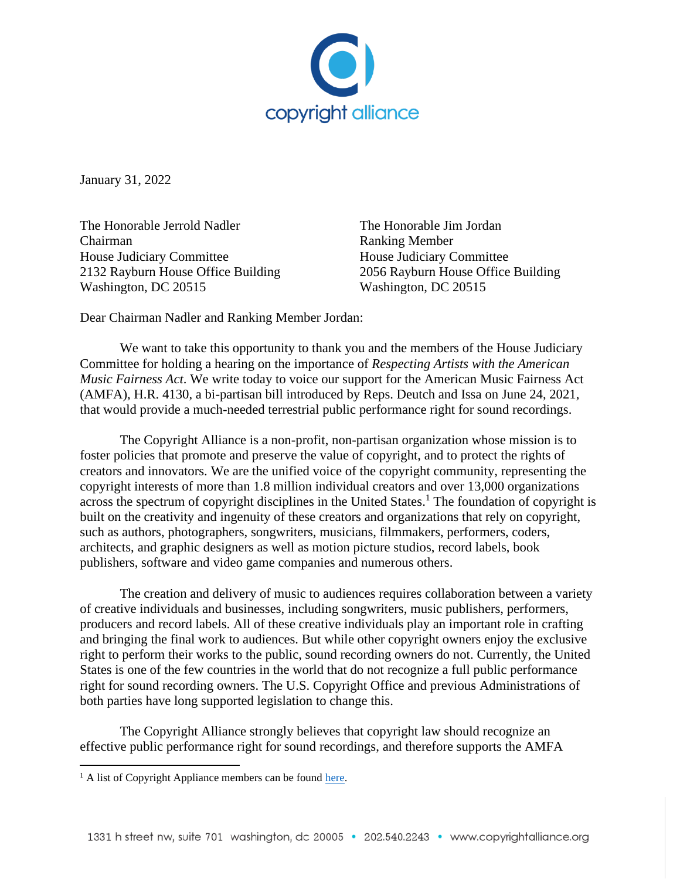

January 31, 2022

The Honorable Jerrold Nadler The Honorable Jim Jordan Chairman Ranking Member House Judiciary Committee **House Indiciary Committee** 2132 Rayburn House Office Building 2056 Rayburn House Office Building Washington, DC 20515 Washington, DC 20515

Dear Chairman Nadler and Ranking Member Jordan:

We want to take this opportunity to thank you and the members of the House Judiciary Committee for holding a hearing on the importance of *Respecting Artists with the American Music Fairness Act*. We write today to voice our support for the American Music Fairness Act (AMFA), H.R. 4130, a bi-partisan bill introduced by Reps. Deutch and Issa on June 24, 2021, that would provide a much-needed terrestrial public performance right for sound recordings.

The Copyright Alliance is a non-profit, non-partisan organization whose mission is to foster policies that promote and preserve the value of copyright, and to protect the rights of creators and innovators. We are the unified voice of the copyright community, representing the copyright interests of more than 1.8 million individual creators and over 13,000 organizations across the spectrum of copyright disciplines in the United States.<sup>1</sup> The foundation of copyright is built on the creativity and ingenuity of these creators and organizations that rely on copyright, such as authors, photographers, songwriters, musicians, filmmakers, performers, coders, architects, and graphic designers as well as motion picture studios, record labels, book publishers, software and video game companies and numerous others.

The creation and delivery of music to audiences requires collaboration between a variety of creative individuals and businesses, including songwriters, music publishers, performers, producers and record labels. All of these creative individuals play an important role in crafting and bringing the final work to audiences. But while other copyright owners enjoy the exclusive right to perform their works to the public, sound recording owners do not. Currently, the United States is one of the few countries in the world that do not recognize a full public performance right for sound recording owners. The U.S. Copyright Office and previous Administrations of both parties have long supported legislation to change this.

The Copyright Alliance strongly believes that copyright law should recognize an effective public performance right for sound recordings, and therefore supports the AMFA

<sup>&</sup>lt;sup>1</sup> A list of Copyright Appliance members can be found [here.](https://copyrightalliance.org/about/who-we-represent/)